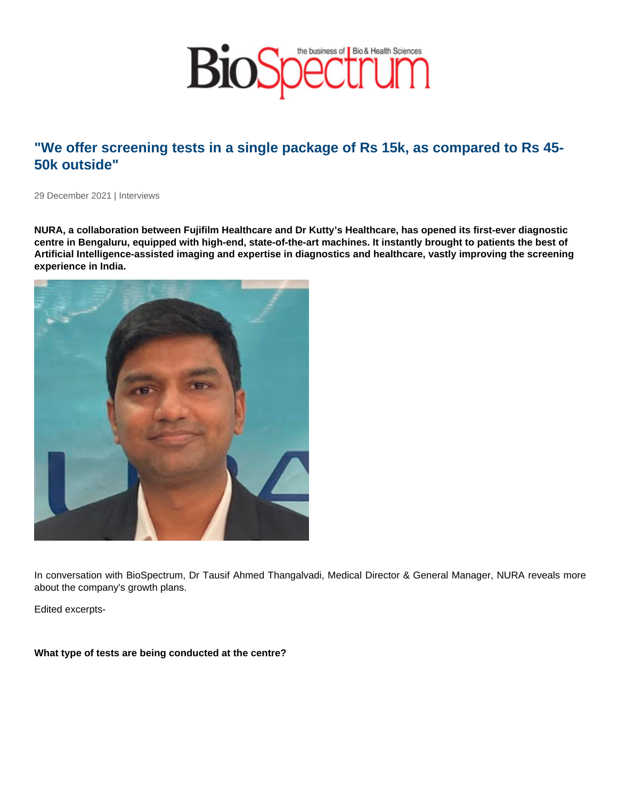## "We offer screening tests in a single package of Rs 15k, as compared to Rs 45- 50k outside"

29 December 2021 | Interviews

NURA, a collaboration between Fujifilm Healthcare and Dr Kutty's Healthcare, has opened its first-ever diagnostic centre in Bengaluru, equipped with high-end, state-of-the-art machines. It instantly brought to patients the best of Artificial Intelligence-assisted imaging and expertise in diagnostics and healthcare, vastly improving the screening experience in India.

In conversation with BioSpectrum, Dr Tausif Ahmed Thangalvadi, Medical Director & General Manager, NURA reveals more about the company's growth plans.

Edited excerpts-

What type of tests are being conducted at the centre?